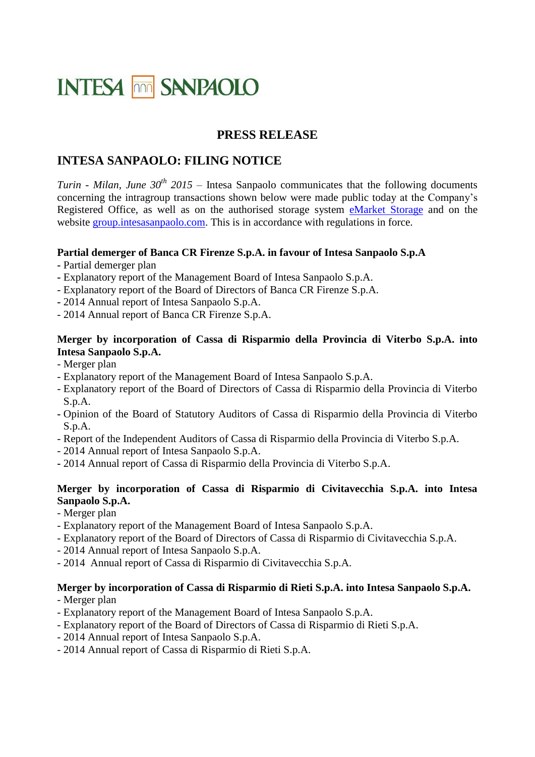# **INTESA MM SANPAOLO**

### **PRESS RELEASE**

## **INTESA SANPAOLO: FILING NOTICE**

*Turin - Milan, June 30th 2015 –* Intesa Sanpaolo communicates that the following documents concerning the intragroup transactions shown below were made public today at the Company's Registered Office, as well as on the authorised storage system [eMarket Storage](http://www.emarketstorage.com/home/homepage.en.htm) and on the website [group.intesasanpaolo.com.](http://www.group.intesasanpaolo.com/scriptIsir0/si09/governance/eng_delibere_consiliari.jsp?tabId=2015) This is in accordance with regulations in force.

#### **Partial demerger of Banca CR Firenze S.p.A. in favour of Intesa Sanpaolo S.p.A**

- **-** Partial demerger plan
- **-** Explanatory report of the Management Board of Intesa Sanpaolo S.p.A.
- Explanatory report of the Board of Directors of Banca CR Firenze S.p.A.
- **-** 2014 Annual report of Intesa Sanpaolo S.p.A.
- 2014 Annual report of Banca CR Firenze S.p.A.

#### **Merger by incorporation of Cassa di Risparmio della Provincia di Viterbo S.p.A. into Intesa Sanpaolo S.p.A.**

- Merger plan
- Explanatory report of the Management Board of Intesa Sanpaolo S.p.A.
- Explanatory report of the Board of Directors of Cassa di Risparmio della Provincia di Viterbo S.p.A.
- **-** Opinion of the Board of Statutory Auditors of Cassa di Risparmio della Provincia di Viterbo S.p.A.
- Report of the Independent Auditors of Cassa di Risparmio della Provincia di Viterbo S.p.A.
- 2014 Annual report of Intesa Sanpaolo S.p.A.
- **-** 2014 Annual report of Cassa di Risparmio della Provincia di Viterbo S.p.A.

#### **Merger by incorporation of Cassa di Risparmio di Civitavecchia S.p.A. into Intesa Sanpaolo S.p.A.**

- Merger plan
- Explanatory report of the Management Board of Intesa Sanpaolo S.p.A.
- Explanatory report of the Board of Directors of Cassa di Risparmio di Civitavecchia S.p.A.
- 2014 Annual report of Intesa Sanpaolo S.p.A.
- 2014 Annual report of Cassa di Risparmio di Civitavecchia S.p.A.

#### **Merger by incorporation of Cassa di Risparmio di Rieti S.p.A. into Intesa Sanpaolo S.p.A.**

- Merger plan
- Explanatory report of the Management Board of Intesa Sanpaolo S.p.A.
- Explanatory report of the Board of Directors of Cassa di Risparmio di Rieti S.p.A.
- 2014 Annual report of Intesa Sanpaolo S.p.A.
- 2014 Annual report of Cassa di Risparmio di Rieti S.p.A.